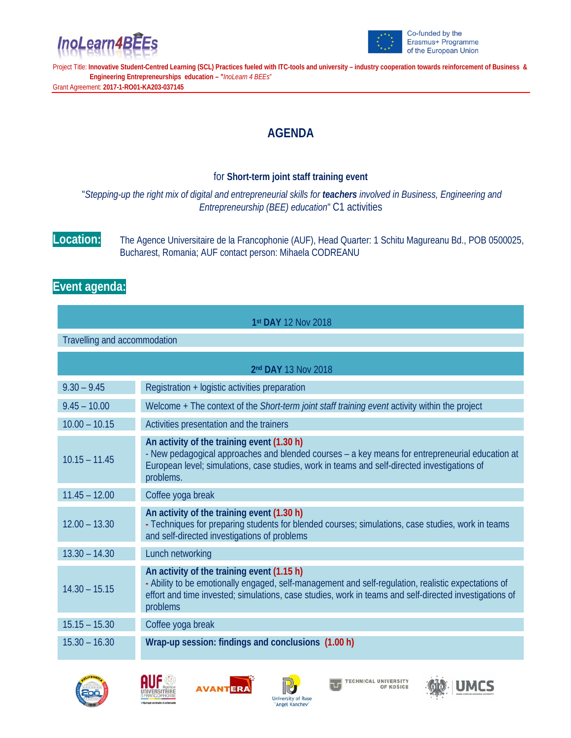



Project Title: **Innovative Student-Centred Learning (SCL) Practices fueled with ITC-tools and university – industry cooperation towards reinforcement of Business & Engineering Entrepreneurships education – "***InoLearn 4 BEEs*" Grant Agreement: **2017-1-RO01-KA203-037145**

## **AGENDA**

## for **Short-term joint staff training event**

"*Stepping-up the right mix of digital and entrepreneurial skills for teachers involved in Business, Engineering and Entrepreneurship (BEE) education*" C1 activities

**Location:** The Agence Universitaire de la Francophonie (AUF), Head Quarter: 1 Schitu Magureanu Bd., POB 0500025, Bucharest, Romania; AUF contact person: Mihaela CODREANU

## **Event agenda:**

| 1st DAY 12 Nov 2018          |                                                                                                                                                                                                                                                                         |  |
|------------------------------|-------------------------------------------------------------------------------------------------------------------------------------------------------------------------------------------------------------------------------------------------------------------------|--|
| Travelling and accommodation |                                                                                                                                                                                                                                                                         |  |
| 2nd DAY 13 Nov 2018          |                                                                                                                                                                                                                                                                         |  |
| $9.30 - 9.45$                | Registration + logistic activities preparation                                                                                                                                                                                                                          |  |
| $9.45 - 10.00$               | Welcome + The context of the Short-term joint staff training event activity within the project                                                                                                                                                                          |  |
| $10.00 - 10.15$              | Activities presentation and the trainers                                                                                                                                                                                                                                |  |
| $10.15 - 11.45$              | An activity of the training event (1.30 h)<br>- New pedagogical approaches and blended courses - a key means for entrepreneurial education at<br>European level; simulations, case studies, work in teams and self-directed investigations of<br>problems.              |  |
| $11.45 - 12.00$              | Coffee yoga break                                                                                                                                                                                                                                                       |  |
| $12.00 - 13.30$              | An activity of the training event (1.30 h)<br>- Techniques for preparing students for blended courses; simulations, case studies, work in teams<br>and self-directed investigations of problems                                                                         |  |
| $13.30 - 14.30$              | Lunch networking                                                                                                                                                                                                                                                        |  |
| $14.30 - 15.15$              | An activity of the training event (1.15 h)<br>- Ability to be emotionally engaged, self-management and self-regulation, realistic expectations of<br>effort and time invested; simulations, case studies, work in teams and self-directed investigations of<br>problems |  |
| $15.15 - 15.30$              | Coffee yoga break                                                                                                                                                                                                                                                       |  |
| $15.30 - 16.30$              | Wrap-up session: findings and conclusions (1.00 h)                                                                                                                                                                                                                      |  |









**TECHNICAL UNIVERSITY<br>OF KOŠICE** 고